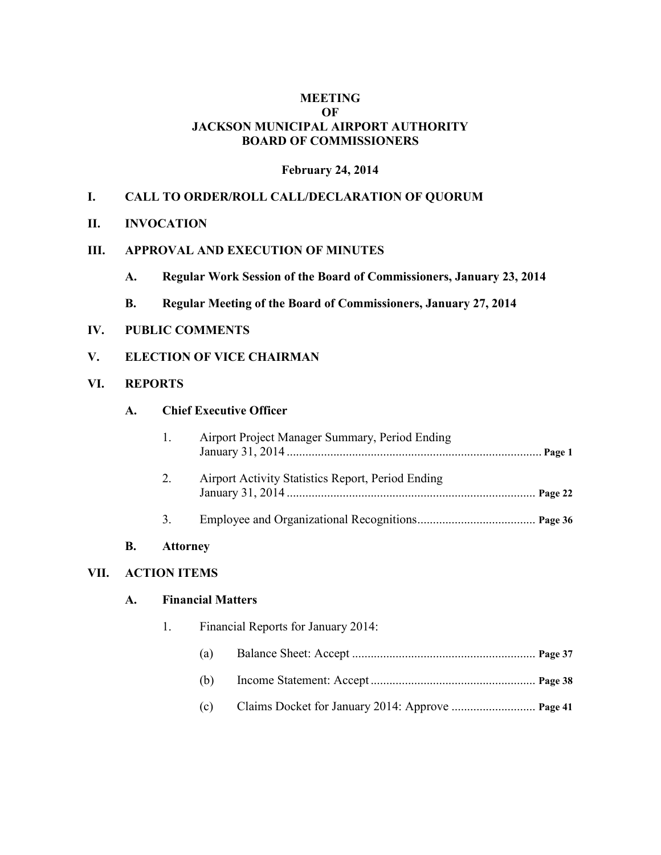## **MEETING OF JACKSON MUNICIPAL AIRPORT AUTHORITY BOARD OF COMMISSIONERS**

#### **February 24, 2014**

## **I. CALL TO ORDER/ROLL CALL/DECLARATION OF QUORUM**

#### **II. INVOCATION**

## **III. APPROVAL AND EXECUTION OF MINUTES**

- **A. Regular Work Session of the Board of Commissioners, January 23, 2014**
- **B. Regular Meeting of the Board of Commissioners, January 27, 2014**

#### **IV. PUBLIC COMMENTS**

## **V. ELECTION OF VICE CHAIRMAN**

#### **VI. REPORTS**

#### **A. Chief Executive Officer**

| 1. | Airport Project Manager Summary, Period Ending    |  |
|----|---------------------------------------------------|--|
|    | Airport Activity Statistics Report, Period Ending |  |
|    |                                                   |  |

#### **B. Attorney**

## **VII. ACTION ITEMS**

## **A. Financial Matters**

- 1. Financial Reports for January 2014:
	- (a) Balance Sheet: Accept ........................................................... **Page 37**
	- (b) Income Statement: Accept ..................................................... **Page 38**
	- (c) Claims Docket for January 2014: Approve ........................... **Page 41**